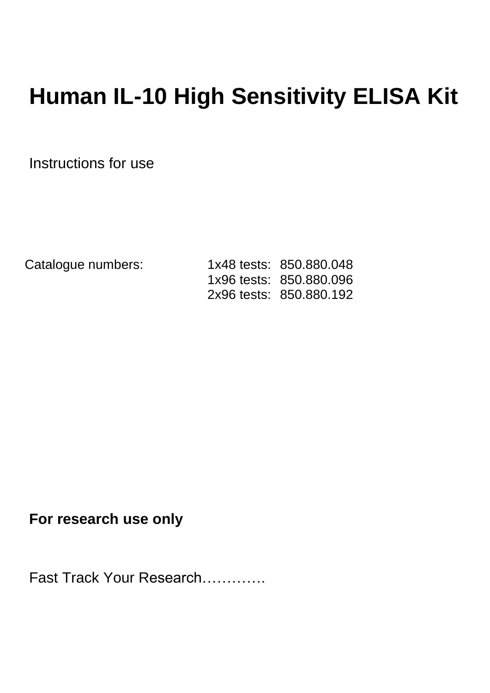# **Human IL-10 High Sensitivity ELISA Kit**

Instructions for use

Catalogue numbers: 1x48 tests: 850.880.048 1x96 tests: 850.880.096 2x96 tests: 850.880.192

**For research use only** 

Fast Track Your Research………….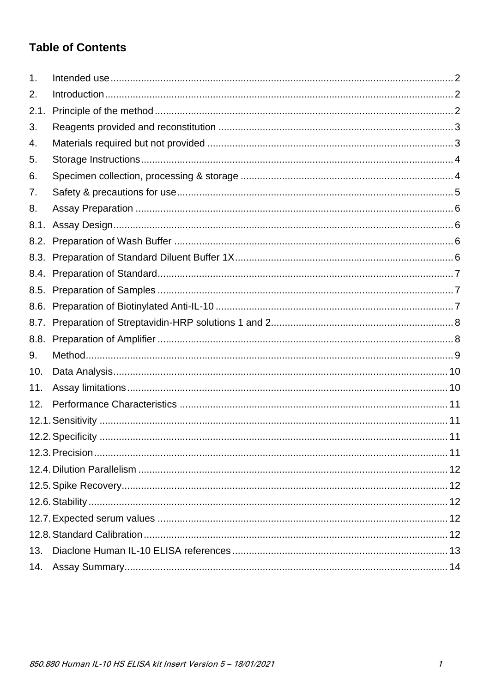# **Table of Contents**

| 1.   |  |
|------|--|
| 2.   |  |
| 2.1  |  |
| 3.   |  |
| 4.   |  |
| 5.   |  |
| 6.   |  |
| 7.   |  |
| 8.   |  |
| 8.1. |  |
|      |  |
|      |  |
|      |  |
| 8.5. |  |
| 8.6. |  |
| 8.7. |  |
| 8.8. |  |
| 9.   |  |
| 10.  |  |
| 11.  |  |
| 12.  |  |
|      |  |
|      |  |
|      |  |
|      |  |
|      |  |
|      |  |
|      |  |
|      |  |
| 13.  |  |
| 14.  |  |
|      |  |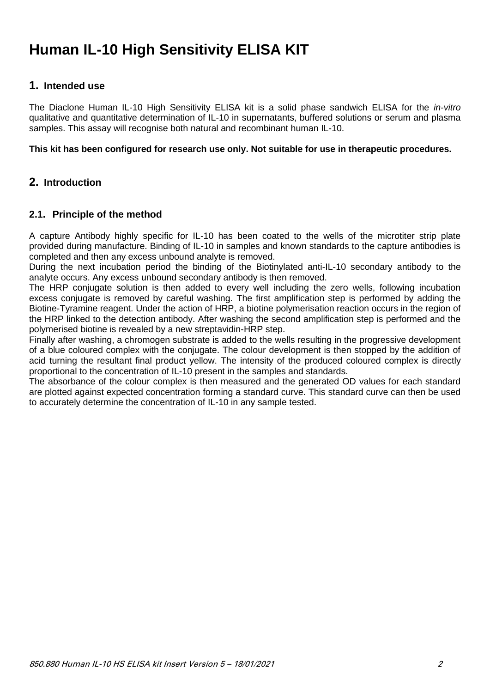# **Human IL-10 High Sensitivity ELISA KIT**

# <span id="page-2-0"></span>**1. Intended use**

The Diaclone Human IL-10 High Sensitivity ELISA kit is a solid phase sandwich ELISA for the *in-vitro* qualitative and quantitative determination of IL-10 in supernatants, buffered solutions or serum and plasma samples. This assay will recognise both natural and recombinant human IL-10.

**This kit has been configured for research use only. Not suitable for use in therapeutic procedures.**

# <span id="page-2-1"></span>**2. Introduction**

# <span id="page-2-2"></span>**2.1. Principle of the method**

A capture Antibody highly specific for IL-10 has been coated to the wells of the microtiter strip plate provided during manufacture. Binding of IL-10 in samples and known standards to the capture antibodies is completed and then any excess unbound analyte is removed.

During the next incubation period the binding of the Biotinylated anti-IL-10 secondary antibody to the analyte occurs. Any excess unbound secondary antibody is then removed.

The HRP conjugate solution is then added to every well including the zero wells, following incubation excess conjugate is removed by careful washing. The first amplification step is performed by adding the Biotine-Tyramine reagent. Under the action of HRP, a biotine polymerisation reaction occurs in the region of the HRP linked to the detection antibody. After washing the second amplification step is performed and the polymerised biotine is revealed by a new streptavidin-HRP step.

Finally after washing, a chromogen substrate is added to the wells resulting in the progressive development of a blue coloured complex with the conjugate. The colour development is then stopped by the addition of acid turning the resultant final product yellow. The intensity of the produced coloured complex is directly proportional to the concentration of IL-10 present in the samples and standards.

The absorbance of the colour complex is then measured and the generated OD values for each standard are plotted against expected concentration forming a standard curve. This standard curve can then be used to accurately determine the concentration of IL-10 in any sample tested.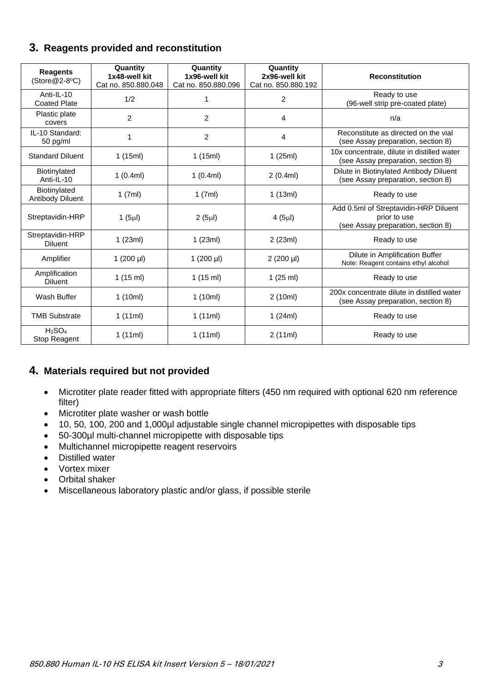<span id="page-3-0"></span>

|  |  |  |  | 3. Reagents provided and reconstitution |
|--|--|--|--|-----------------------------------------|
|--|--|--|--|-----------------------------------------|

| <b>Reagents</b><br>$(Store@2-8°C)$ | Quantity<br>1x48-well kit<br>Cat no. 850.880.048 | Quantity<br>1x96-well kit<br>Cat no. 850.880.096 | Quantity<br>2x96-well kit<br>Cat no. 850.880.192 | <b>Reconstitution</b>                                                                       |
|------------------------------------|--------------------------------------------------|--------------------------------------------------|--------------------------------------------------|---------------------------------------------------------------------------------------------|
| Anti-IL-10<br><b>Coated Plate</b>  | 1/2                                              |                                                  | 2                                                | Ready to use<br>(96-well strip pre-coated plate)                                            |
| Plastic plate<br>covers            | $\overline{c}$                                   | $\overline{c}$                                   | 4                                                | n/a                                                                                         |
| IL-10 Standard:<br>50 pg/ml        | 1                                                | $\overline{2}$                                   | 4                                                | Reconstitute as directed on the vial<br>(see Assay preparation, section 8)                  |
| <b>Standard Diluent</b>            | 1(15ml)                                          | 1(15ml)                                          | 1(25ml)                                          | 10x concentrate, dilute in distilled water<br>(see Assay preparation, section 8)            |
| Biotinylated<br>Anti-IL-10         | 1(0.4ml)                                         | 1(0.4ml)                                         | 2(0.4ml)                                         | Dilute in Biotinylated Antibody Diluent<br>(see Assay preparation, section 8)               |
| Biotinylated<br>Antibody Diluent   | 1(7ml)                                           | 1(7ml)                                           | 1(13ml)                                          | Ready to use                                                                                |
| Streptavidin-HRP                   | 1 $(5µ)$                                         | $2(5\mu l)$                                      | 4(5µ)                                            | Add 0.5ml of Streptavidin-HRP Diluent<br>prior to use<br>(see Assay preparation, section 8) |
| Streptavidin-HRP<br><b>Diluent</b> | 1(23ml)                                          | 1(23ml)                                          | 2(23ml)                                          | Ready to use                                                                                |
| Amplifier                          | 1 $(200 \mu l)$                                  | 1 $(200 \mu l)$                                  | $2(200 \text{ µI})$                              | Dilute in Amplification Buffer<br>Note: Reagent contains ethyl alcohol                      |
| Amplification<br><b>Diluent</b>    | 1(15 ml)                                         | 1(15 ml)                                         | 1 $(25 \text{ ml})$                              | Ready to use                                                                                |
| Wash Buffer                        | 1(10ml)                                          | 1(10ml)                                          | 2(10ml)                                          | 200x concentrate dilute in distilled water<br>(see Assay preparation, section 8)            |
| <b>TMB Substrate</b>               | 1(11ml)                                          | 1(11ml)                                          | 1 $(24ml)$                                       | Ready to use                                                                                |
| $H_2SO_4$<br>Stop Reagent          | 1(11ml)                                          | 1(11ml)                                          | 2(11ml)                                          | Ready to use                                                                                |

# <span id="page-3-1"></span>**4. Materials required but not provided**

- Microtiter plate reader fitted with appropriate filters (450 nm required with optional 620 nm reference filter)
- Microtiter plate washer or wash bottle
- 10, 50, 100, 200 and 1,000µl adjustable single channel micropipettes with disposable tips
- 50-300µl multi-channel micropipette with disposable tips
- Multichannel micropipette reagent reservoirs
- Distilled water
- Vortex mixer
- Orbital shaker
- Miscellaneous laboratory plastic and/or glass, if possible sterile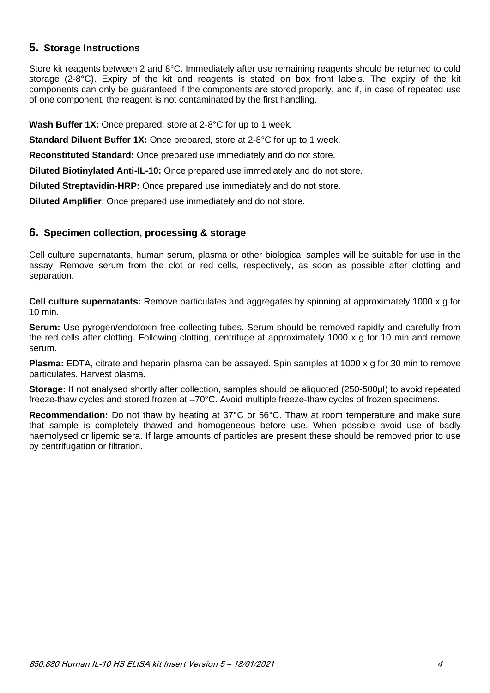# <span id="page-4-0"></span>**5. Storage Instructions**

Store kit reagents between 2 and 8°C. Immediately after use remaining reagents should be returned to cold storage (2-8°C). Expiry of the kit and reagents is stated on box front labels. The expiry of the kit components can only be guaranteed if the components are stored properly, and if, in case of repeated use of one component, the reagent is not contaminated by the first handling.

**Wash Buffer 1X:** Once prepared, store at 2-8°C for up to 1 week.

**Standard Diluent Buffer 1X:** Once prepared, store at 2-8°C for up to 1 week.

**Reconstituted Standard:** Once prepared use immediately and do not store.

**Diluted Biotinylated Anti-IL-10:** Once prepared use immediately and do not store.

**Diluted Streptavidin-HRP:** Once prepared use immediately and do not store.

**Diluted Amplifier**: Once prepared use immediately and do not store.

#### <span id="page-4-1"></span>**6. Specimen collection, processing & storage**

Cell culture supernatants, human serum, plasma or other biological samples will be suitable for use in the assay. Remove serum from the clot or red cells, respectively, as soon as possible after clotting and separation.

**Cell culture supernatants:** Remove particulates and aggregates by spinning at approximately 1000 x g for 10 min.

**Serum:** Use pyrogen/endotoxin free collecting tubes. Serum should be removed rapidly and carefully from the red cells after clotting. Following clotting, centrifuge at approximately 1000 x g for 10 min and remove serum.

**Plasma:** EDTA, citrate and heparin plasma can be assayed. Spin samples at 1000 x g for 30 min to remove particulates. Harvest plasma.

**Storage:** If not analysed shortly after collection, samples should be aliquoted (250-500μl) to avoid repeated freeze-thaw cycles and stored frozen at –70°C. Avoid multiple freeze-thaw cycles of frozen specimens.

**Recommendation:** Do not thaw by heating at 37°C or 56°C. Thaw at room temperature and make sure that sample is completely thawed and homogeneous before use. When possible avoid use of badly haemolysed or lipemic sera. If large amounts of particles are present these should be removed prior to use by centrifugation or filtration.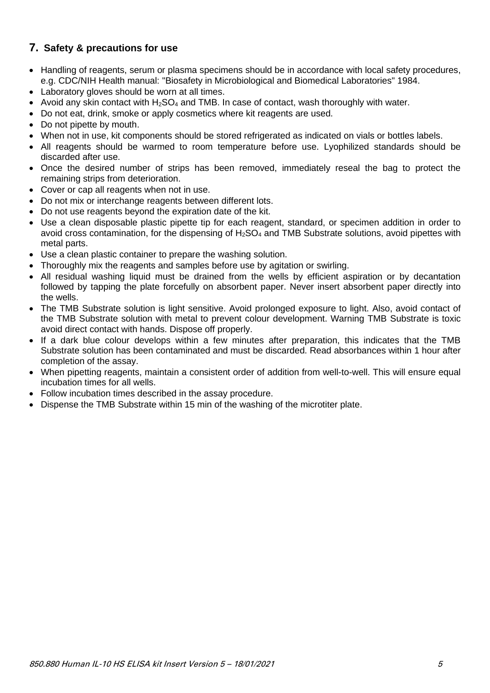# <span id="page-5-0"></span>**7. Safety & precautions for use**

- Handling of reagents, serum or plasma specimens should be in accordance with local safety procedures, e.g. CDC/NIH Health manual: "Biosafety in Microbiological and Biomedical Laboratories" 1984.
- Laboratory gloves should be worn at all times.
- Avoid any skin contact with  $H_2SO_4$  and TMB. In case of contact, wash thoroughly with water.
- Do not eat, drink, smoke or apply cosmetics where kit reagents are used.
- Do not pipette by mouth.
- When not in use, kit components should be stored refrigerated as indicated on vials or bottles labels.
- All reagents should be warmed to room temperature before use. Lyophilized standards should be discarded after use.
- Once the desired number of strips has been removed, immediately reseal the bag to protect the remaining strips from deterioration.
- Cover or cap all reagents when not in use.
- Do not mix or interchange reagents between different lots.
- Do not use reagents beyond the expiration date of the kit.
- Use a clean disposable plastic pipette tip for each reagent, standard, or specimen addition in order to avoid cross contamination, for the dispensing of  $H_2SO_4$  and TMB Substrate solutions, avoid pipettes with metal parts.
- Use a clean plastic container to prepare the washing solution.
- Thoroughly mix the reagents and samples before use by agitation or swirling.
- All residual washing liquid must be drained from the wells by efficient aspiration or by decantation followed by tapping the plate forcefully on absorbent paper. Never insert absorbent paper directly into the wells.
- The TMB Substrate solution is light sensitive. Avoid prolonged exposure to light. Also, avoid contact of the TMB Substrate solution with metal to prevent colour development. Warning TMB Substrate is toxic avoid direct contact with hands. Dispose off properly.
- If a dark blue colour develops within a few minutes after preparation, this indicates that the TMB Substrate solution has been contaminated and must be discarded. Read absorbances within 1 hour after completion of the assay.
- When pipetting reagents, maintain a consistent order of addition from well-to-well. This will ensure equal incubation times for all wells.
- Follow incubation times described in the assay procedure.
- Dispense the TMB Substrate within 15 min of the washing of the microtiter plate.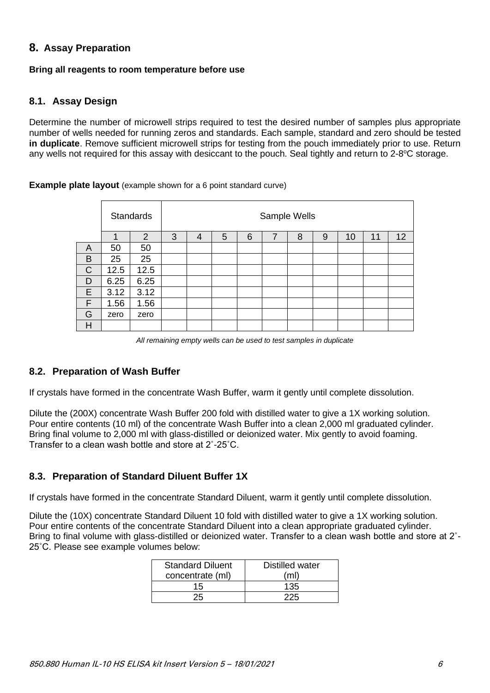# <span id="page-6-0"></span>**8. Assay Preparation**

#### **Bring all reagents to room temperature before use**

# <span id="page-6-1"></span>**8.1. Assay Design**

Determine the number of microwell strips required to test the desired number of samples plus appropriate number of wells needed for running zeros and standards. Each sample, standard and zero should be tested **in duplicate**. Remove sufficient microwell strips for testing from the pouch immediately prior to use. Return any wells not required for this assay with desiccant to the pouch. Seal tightly and return to 2-8°C storage.

#### **Example plate layout** (example shown for a 6 point standard curve)

|              |      | <b>Standards</b> | Sample Wells |   |   |   |                |   |   |    |    |    |
|--------------|------|------------------|--------------|---|---|---|----------------|---|---|----|----|----|
|              |      | $\overline{2}$   | 3            | 4 | 5 | 6 | $\overline{7}$ | 8 | 9 | 10 | 11 | 12 |
| A            | 50   | 50               |              |   |   |   |                |   |   |    |    |    |
| B            | 25   | 25               |              |   |   |   |                |   |   |    |    |    |
| $\mathsf{C}$ | 12.5 | 12.5             |              |   |   |   |                |   |   |    |    |    |
| D            | 6.25 | 6.25             |              |   |   |   |                |   |   |    |    |    |
| E            | 3.12 | 3.12             |              |   |   |   |                |   |   |    |    |    |
| F            | 1.56 | 1.56             |              |   |   |   |                |   |   |    |    |    |
| G            | zero | zero             |              |   |   |   |                |   |   |    |    |    |
| Η            |      |                  |              |   |   |   |                |   |   |    |    |    |

*All remaining empty wells can be used to test samples in duplicate*

# <span id="page-6-2"></span>**8.2. Preparation of Wash Buffer**

If crystals have formed in the concentrate Wash Buffer, warm it gently until complete dissolution.

Dilute the (200X) concentrate Wash Buffer 200 fold with distilled water to give a 1X working solution. Pour entire contents (10 ml) of the concentrate Wash Buffer into a clean 2,000 ml graduated cylinder. Bring final volume to 2,000 ml with glass-distilled or deionized water. Mix gently to avoid foaming. Transfer to a clean wash bottle and store at 2˚-25˚C.

# <span id="page-6-3"></span>**8.3. Preparation of Standard Diluent Buffer 1X**

If crystals have formed in the concentrate Standard Diluent, warm it gently until complete dissolution.

Dilute the (10X) concentrate Standard Diluent 10 fold with distilled water to give a 1X working solution. Pour entire contents of the concentrate Standard Diluent into a clean appropriate graduated cylinder. Bring to final volume with glass-distilled or deionized water. Transfer to a clean wash bottle and store at 2˚- 25˚C. Please see example volumes below:

| <b>Standard Diluent</b> | Distilled water |
|-------------------------|-----------------|
| concentrate (ml)        | (ml)            |
| 15                      | 135             |
|                         | 225             |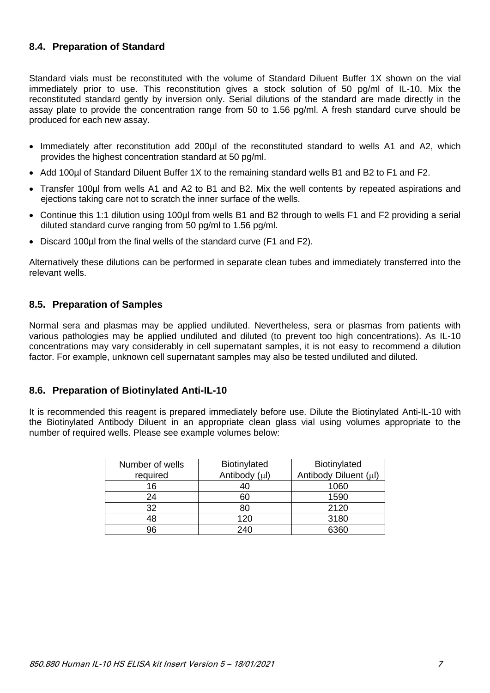# <span id="page-7-0"></span>**8.4. Preparation of Standard**

Standard vials must be reconstituted with the volume of Standard Diluent Buffer 1X shown on the vial immediately prior to use. This reconstitution gives a stock solution of 50 pg/ml of IL-10. Mix the reconstituted standard gently by inversion only. Serial dilutions of the standard are made directly in the assay plate to provide the concentration range from 50 to 1.56 pg/ml. A fresh standard curve should be produced for each new assay.

- Immediately after reconstitution add 200µl of the reconstituted standard to wells A1 and A2, which provides the highest concentration standard at 50 pg/ml.
- Add 100µl of Standard Diluent Buffer 1X to the remaining standard wells B1 and B2 to F1 and F2.
- Transfer 100µl from wells A1 and A2 to B1 and B2. Mix the well contents by repeated aspirations and ejections taking care not to scratch the inner surface of the wells.
- Continue this 1:1 dilution using 100µl from wells B1 and B2 through to wells F1 and F2 providing a serial diluted standard curve ranging from 50 pg/ml to 1.56 pg/ml.
- Discard 100µl from the final wells of the standard curve (F1 and F2).

Alternatively these dilutions can be performed in separate clean tubes and immediately transferred into the relevant wells.

#### <span id="page-7-1"></span>**8.5. Preparation of Samples**

Normal sera and plasmas may be applied undiluted. Nevertheless, sera or plasmas from patients with various pathologies may be applied undiluted and diluted (to prevent too high concentrations). As IL-10 concentrations may vary considerably in cell supernatant samples, it is not easy to recommend a dilution factor. For example, unknown cell supernatant samples may also be tested undiluted and diluted.

# <span id="page-7-2"></span>**8.6. Preparation of Biotinylated Anti-IL-10**

It is recommended this reagent is prepared immediately before use. Dilute the Biotinylated Anti-IL-10 with the Biotinylated Antibody Diluent in an appropriate clean glass vial using volumes appropriate to the number of required wells. Please see example volumes below:

| Number of wells | Biotinylated  | Biotinylated          |
|-----------------|---------------|-----------------------|
| required        | Antibody (µl) | Antibody Diluent (µl) |
| 16              | 40            | 1060                  |
| 24              | 60            | 1590                  |
| 32              | 80            | 2120                  |
| 48              | 120           | 3180                  |
| 96              | 240           | 6360                  |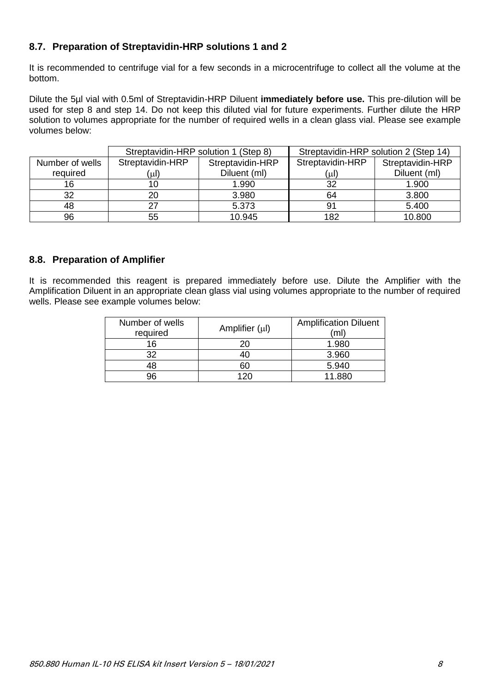# <span id="page-8-0"></span>**8.7. Preparation of Streptavidin-HRP solutions 1 and 2**

It is recommended to centrifuge vial for a few seconds in a microcentrifuge to collect all the volume at the bottom.

Dilute the 5µl vial with 0.5ml of Streptavidin-HRP Diluent **immediately before use.** This pre-dilution will be used for step 8 and step 14. Do not keep this diluted vial for future experiments. Further dilute the HRP solution to volumes appropriate for the number of required wells in a clean glass vial. Please see example volumes below:

|                 | Streptavidin-HRP solution 1 (Step 8) |                  |                  | Streptavidin-HRP solution 2 (Step 14) |
|-----------------|--------------------------------------|------------------|------------------|---------------------------------------|
| Number of wells | Streptavidin-HRP                     | Streptavidin-HRP | Streptavidin-HRP | Streptavidin-HRP                      |
| required        | (µl)                                 | Diluent (ml)     | (µl)             | Diluent (ml)                          |
| 16              |                                      | 1.990            | 32               | 1.900                                 |
| 32              | 20                                   | 3.980            | 64               | 3.800                                 |
| 48              |                                      | 5.373            | 91               | 5.400                                 |
| 96              | 55                                   | 10.945           | 182              | 10.800                                |

# <span id="page-8-1"></span>**8.8. Preparation of Amplifier**

It is recommended this reagent is prepared immediately before use. Dilute the Amplifier with the Amplification Diluent in an appropriate clean glass vial using volumes appropriate to the number of required wells. Please see example volumes below:

| Number of wells<br>required | Amplifier $(\mu I)$ | <b>Amplification Diluent</b><br>(ml |
|-----------------------------|---------------------|-------------------------------------|
| 16                          |                     | 1.980                               |
| 32                          |                     | 3.960                               |
| 18                          | 60                  | 5.940                               |
| 96                          | 120                 | 11.880                              |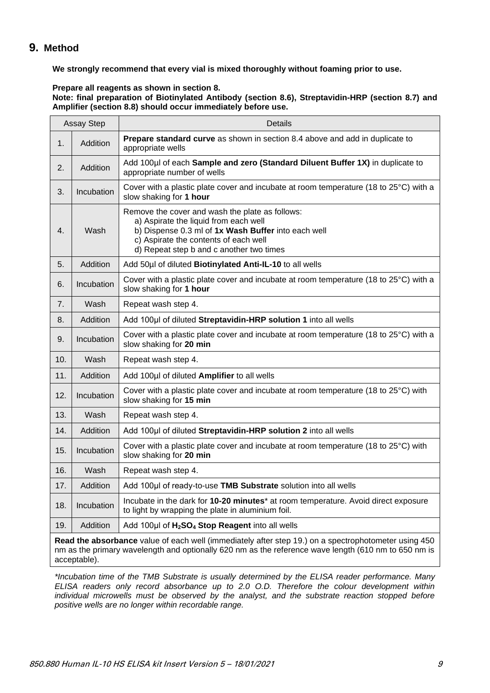# <span id="page-9-0"></span>**9. Method**

**We strongly recommend that every vial is mixed thoroughly without foaming prior to use.**

**Prepare all reagents as shown in section 8. Note: final preparation of Biotinylated Antibody (section 8.6), Streptavidin-HRP (section 8.7) and Amplifier (section 8.8) should occur immediately before use.**

| Assay Step |            | Details                                                                                                                                                                                                                              |
|------------|------------|--------------------------------------------------------------------------------------------------------------------------------------------------------------------------------------------------------------------------------------|
| 1.         | Addition   | Prepare standard curve as shown in section 8.4 above and add in duplicate to<br>appropriate wells                                                                                                                                    |
| 2.         | Addition   | Add 100µl of each Sample and zero (Standard Diluent Buffer 1X) in duplicate to<br>appropriate number of wells                                                                                                                        |
| 3.         | Incubation | Cover with a plastic plate cover and incubate at room temperature (18 to 25°C) with a<br>slow shaking for 1 hour                                                                                                                     |
| 4.         | Wash       | Remove the cover and wash the plate as follows:<br>a) Aspirate the liquid from each well<br>b) Dispense 0.3 ml of 1x Wash Buffer into each well<br>c) Aspirate the contents of each well<br>d) Repeat step b and c another two times |
| 5.         | Addition   | Add 50µl of diluted Biotinylated Anti-IL-10 to all wells                                                                                                                                                                             |
| 6.         | Incubation | Cover with a plastic plate cover and incubate at room temperature (18 to 25°C) with a<br>slow shaking for 1 hour                                                                                                                     |
| 7.         | Wash       | Repeat wash step 4.                                                                                                                                                                                                                  |
| 8.         | Addition   | Add 100µl of diluted Streptavidin-HRP solution 1 into all wells                                                                                                                                                                      |
| 9.         | Incubation | Cover with a plastic plate cover and incubate at room temperature (18 to 25°C) with a<br>slow shaking for 20 min                                                                                                                     |
| 10.        | Wash       | Repeat wash step 4.                                                                                                                                                                                                                  |
| 11.        | Addition   | Add 100µl of diluted Amplifier to all wells                                                                                                                                                                                          |
| 12.        | Incubation | Cover with a plastic plate cover and incubate at room temperature (18 to 25°C) with<br>slow shaking for 15 min                                                                                                                       |
| 13.        | Wash       | Repeat wash step 4.                                                                                                                                                                                                                  |
| 14.        | Addition   | Add 100µl of diluted Streptavidin-HRP solution 2 into all wells                                                                                                                                                                      |
| 15.        | Incubation | Cover with a plastic plate cover and incubate at room temperature (18 to 25°C) with<br>slow shaking for 20 min                                                                                                                       |
| 16.        | Wash       | Repeat wash step 4.                                                                                                                                                                                                                  |
| 17.        | Addition   | Add 100µl of ready-to-use TMB Substrate solution into all wells                                                                                                                                                                      |
| 18.        | Incubation | Incubate in the dark for 10-20 minutes* at room temperature. Avoid direct exposure<br>to light by wrapping the plate in aluminium foil.                                                                                              |
| 19.        | Addition   | Add 100µl of H <sub>2</sub> SO <sub>4</sub> Stop Reagent into all wells                                                                                                                                                              |
|            |            | <b>Doad the absorbance</b> value of each well (immediately after step 10) on a spectrophotometer using $450$                                                                                                                         |

**Read the absorbance** value of each well (immediately after step 19.) on a spectrophotometer using 450 nm as the primary wavelength and optionally 620 nm as the reference wave length (610 nm to 650 nm is acceptable).

*\*Incubation time of the TMB Substrate is usually determined by the ELISA reader performance. Many ELISA readers only record absorbance up to 2.0 O.D. Therefore the colour development within individual microwells must be observed by the analyst, and the substrate reaction stopped before positive wells are no longer within recordable range.*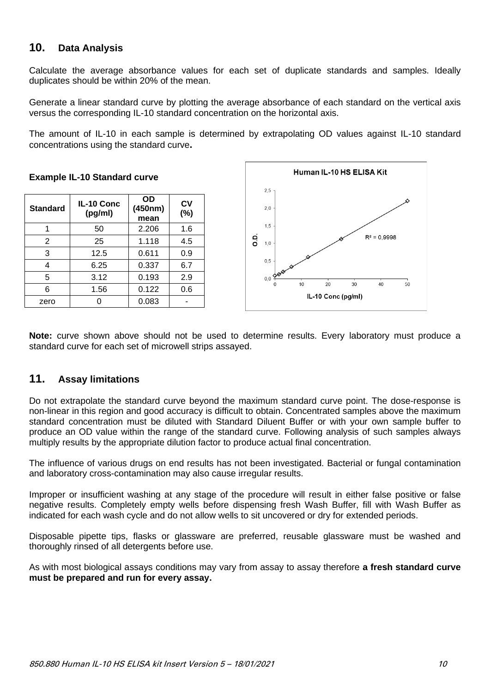# <span id="page-10-0"></span>**10. Data Analysis**

Calculate the average absorbance values for each set of duplicate standards and samples. Ideally duplicates should be within 20% of the mean.

Generate a linear standard curve by plotting the average absorbance of each standard on the vertical axis versus the corresponding IL-10 standard concentration on the horizontal axis.

The amount of IL-10 in each sample is determined by extrapolating OD values against IL-10 standard concentrations using the standard curve**.**

| <b>Standard</b> | IL-10 Conc<br>(pg/ml) | OD<br>(450nm)<br>mean | CV<br>(%) |
|-----------------|-----------------------|-----------------------|-----------|
|                 | 50                    | 2.206                 | 1.6       |
| 2               | 25                    | 1.118                 | 4.5       |
| 3               | 12.5                  | 0.611                 | 0.9       |
|                 | 6.25                  | 0.337                 | 6.7       |
| 5               | 3.12                  | 0.193                 | 2.9       |
| 6               | 1.56                  | 0.122                 | 0.6       |
| zero            |                       | 0.083                 |           |





**Note:** curve shown above should not be used to determine results. Every laboratory must produce a standard curve for each set of microwell strips assayed.

# <span id="page-10-1"></span>**11. Assay limitations**

Do not extrapolate the standard curve beyond the maximum standard curve point. The dose-response is non-linear in this region and good accuracy is difficult to obtain. Concentrated samples above the maximum standard concentration must be diluted with Standard Diluent Buffer or with your own sample buffer to produce an OD value within the range of the standard curve. Following analysis of such samples always multiply results by the appropriate dilution factor to produce actual final concentration.

The influence of various drugs on end results has not been investigated. Bacterial or fungal contamination and laboratory cross-contamination may also cause irregular results.

Improper or insufficient washing at any stage of the procedure will result in either false positive or false negative results. Completely empty wells before dispensing fresh Wash Buffer, fill with Wash Buffer as indicated for each wash cycle and do not allow wells to sit uncovered or dry for extended periods.

Disposable pipette tips, flasks or glassware are preferred, reusable glassware must be washed and thoroughly rinsed of all detergents before use.

As with most biological assays conditions may vary from assay to assay therefore **a fresh standard curve must be prepared and run for every assay.**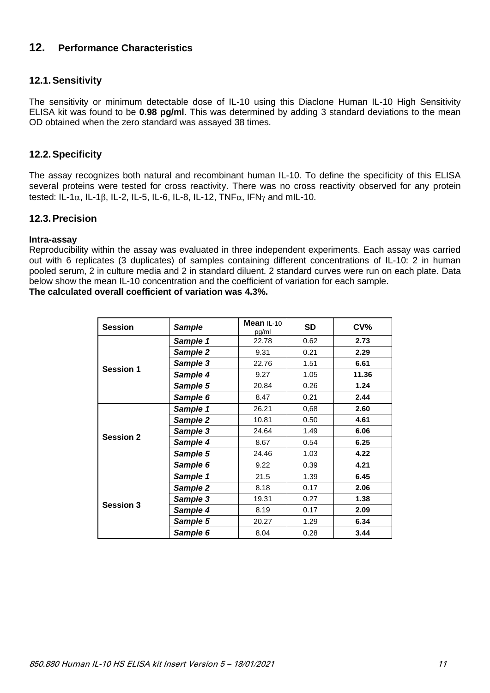# <span id="page-11-0"></span>**12. Performance Characteristics**

# <span id="page-11-1"></span>**12.1.Sensitivity**

The sensitivity or minimum detectable dose of IL-10 using this Diaclone Human IL-10 High Sensitivity ELISA kit was found to be **0.98 pg/ml**. This was determined by adding 3 standard deviations to the mean OD obtained when the zero standard was assayed 38 times.

#### <span id="page-11-2"></span>**12.2.Specificity**

The assay recognizes both natural and recombinant human IL-10. To define the specificity of this ELISA several proteins were tested for cross reactivity. There was no cross reactivity observed for any protein tested: IL-1 $\alpha$ , IL-1 $\beta$ , IL-2, IL-5, IL-6, IL-8, IL-12, TNF $\alpha$ , IFN $\gamma$  and mIL-10.

#### <span id="page-11-3"></span>**12.3.Precision**

#### **Intra-assay**

Reproducibility within the assay was evaluated in three independent experiments. Each assay was carried out with 6 replicates (3 duplicates) of samples containing different concentrations of IL-10: 2 in human pooled serum, 2 in culture media and 2 in standard diluent. 2 standard curves were run on each plate. Data below show the mean IL-10 concentration and the coefficient of variation for each sample.

**The calculated overall coefficient of variation was 4.3%.**

| <b>Session</b>   | <b>Sample</b> | Mean $IL-10$<br>pg/ml | <b>SD</b> | CV <sub>0</sub> |
|------------------|---------------|-----------------------|-----------|-----------------|
|                  | Sample 1      | 22.78                 | 0.62      | 2.73            |
|                  | Sample 2      | 9.31                  | 0.21      | 2.29            |
| <b>Session 1</b> | Sample 3      | 22.76                 | 1.51      | 6.61            |
|                  | Sample 4      | 9.27                  | 1.05      | 11.36           |
|                  | Sample 5      | 20.84                 | 0.26      | 1.24            |
|                  | Sample 6      | 8.47                  | 0.21      | 2.44            |
|                  | Sample 1      | 26.21                 | 0.68      | 2.60            |
|                  | Sample 2      | 10.81                 | 0.50      | 4.61            |
| <b>Session 2</b> | Sample 3      | 24.64                 | 1.49      | 6.06            |
|                  | Sample 4      | 8.67                  | 0.54      | 6.25            |
|                  | Sample 5      | 24.46                 | 1.03      | 4.22            |
|                  | Sample 6      | 9.22                  | 0.39      | 4.21            |
|                  | Sample 1      | 21.5                  | 1.39      | 6.45            |
|                  | Sample 2      | 8.18                  | 0.17      | 2.06            |
|                  | Sample 3      | 19.31                 | 0.27      | 1.38            |
| <b>Session 3</b> | Sample 4      | 8.19                  | 0.17      | 2.09            |
|                  | Sample 5      | 20.27                 | 1.29      | 6.34            |
|                  | Sample 6      | 8.04                  | 0.28      | 3.44            |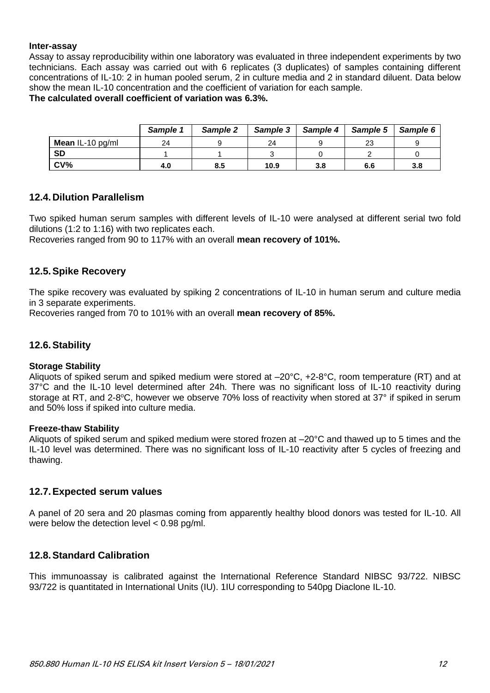#### **Inter-assay**

Assay to assay reproducibility within one laboratory was evaluated in three independent experiments by two technicians. Each assay was carried out with 6 replicates (3 duplicates) of samples containing different concentrations of IL-10: 2 in human pooled serum, 2 in culture media and 2 in standard diluent. Data below show the mean IL-10 concentration and the coefficient of variation for each sample.

#### **The calculated overall coefficient of variation was 6.3%.**

|                  | Sample 1 | Sample 2 | Sample 3 | Sample 4 | Sample 5 | Sample 6 |
|------------------|----------|----------|----------|----------|----------|----------|
| Mean IL-10 pg/ml | 24       |          | 24       |          | 23       |          |
| <b>SD</b>        |          |          |          |          |          |          |
| CV <sub>6</sub>  | 4.0      | 8.5      | 10.9     | 3.8      | 6.6      | 3.8      |

#### <span id="page-12-0"></span>**12.4.Dilution Parallelism**

Two spiked human serum samples with different levels of IL-10 were analysed at different serial two fold dilutions (1:2 to 1:16) with two replicates each.

Recoveries ranged from 90 to 117% with an overall **mean recovery of 101%.**

#### <span id="page-12-1"></span>**12.5.Spike Recovery**

The spike recovery was evaluated by spiking 2 concentrations of IL-10 in human serum and culture media in 3 separate experiments.

Recoveries ranged from 70 to 101% with an overall **mean recovery of 85%.**

#### <span id="page-12-2"></span>**12.6.Stability**

#### **Storage Stability**

Aliquots of spiked serum and spiked medium were stored at –20°C, +2-8°C, room temperature (RT) and at 37°C and the IL-10 level determined after 24h. There was no significant loss of IL-10 reactivity during storage at RT, and 2-8°C, however we observe 70% loss of reactivity when stored at 37° if spiked in serum and 50% loss if spiked into culture media.

#### **Freeze-thaw Stability**

Aliquots of spiked serum and spiked medium were stored frozen at –20°C and thawed up to 5 times and the IL-10 level was determined. There was no significant loss of IL-10 reactivity after 5 cycles of freezing and thawing.

#### <span id="page-12-3"></span>**12.7.Expected serum values**

A panel of 20 sera and 20 plasmas coming from apparently healthy blood donors was tested for IL-10. All were below the detection level < 0.98 pg/ml.

#### <span id="page-12-4"></span>**12.8.Standard Calibration**

This immunoassay is calibrated against the International Reference Standard NIBSC 93/722. NIBSC 93/722 is quantitated in International Units (IU). 1IU corresponding to 540pg Diaclone IL-10.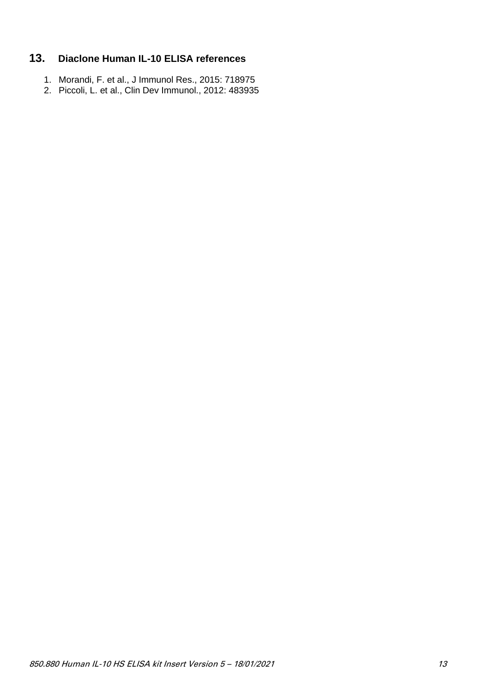# <span id="page-13-0"></span>**13. Diaclone Human IL-10 ELISA references**

- 1. Morandi, F. et al., J Immunol Res., 2015: 718975
- 2. Piccoli, L. et al., Clin Dev Immunol., 2012: 483935